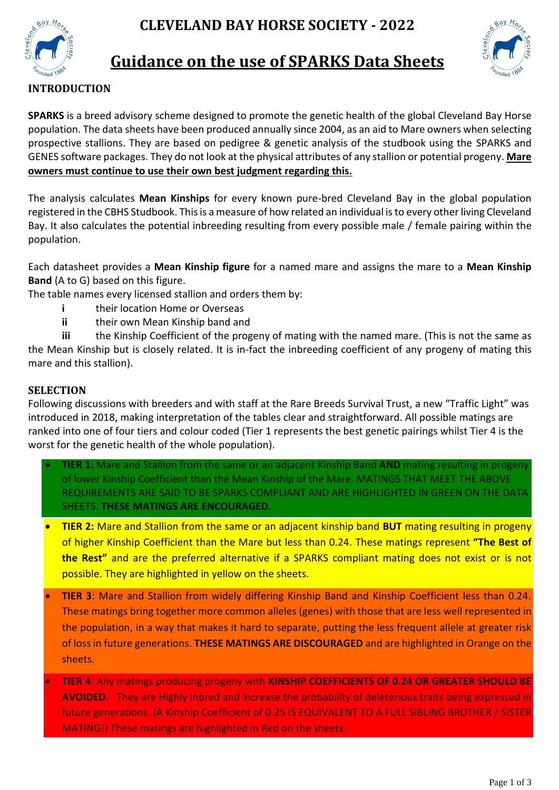

**CLEVELAND BAY HORSE SOCIETY - 2022**



# **Guidance on the use of SPARKS Data Sheets**

## **INTRODUCTION**

**SPARKS** is a breed advisory scheme designed to promote the genetic health of the global Cleveland Bay Horse population. The data sheets have been produced annually since 2004, as an aid to Mare owners when selecting prospective stallions. They are based on pedigree & genetic analysis of the studbook using the SPARKS and GENES software packages. They do not look at the physical attributes of any stallion or potential progeny. **Mare owners must continue to use their own best judgment regarding this.**

The analysis calculates **Mean Kinships** for every known pure-bred Cleveland Bay in the global population registered in the CBHS Studbook. This is a measure of how related an individual is to every other living Cleveland Bay. It also calculates the potential inbreeding resulting from every possible male / female pairing within the population.

Each datasheet provides a **Mean Kinship figure** for a named mare and assigns the mare to a **Mean Kinship Band** (A to G) based on this figure.

The table names every licensed stallion and orders them by:

- **i** their location Home or Overseas
- **ii** their own Mean Kinship band and

**iii** the Kinship Coefficient of the progeny of mating with the named mare. (This is not the same as the Mean Kinship but is closely related. It is in-fact the inbreeding coefficient of any progeny of mating this mare and this stallion).

## **SELECTION**

Following discussions with breeders and with staff at the Rare Breeds Survival Trust, a new "Traffic Light" was introduced in 2018, making interpretation of the tables clear and straightforward. All possible matings are ranked into one of four tiers and colour coded (Tier 1 represents the best genetic pairings whilst Tier 4 is the worst for the genetic health of the whole population).

- **TIER 1:** Mare and Stallion from the same or an adjacent Kinship Band **AND** mating resulting in progeny of lower Kinship Coefficient than the Mean Kinship of the Mare. MATINGS THAT MEET THE ABOVE REQUIREMENTS ARE SAID TO BE SPARKS COMPLIANT AND ARE HIGHLIGHTED IN GREEN ON THE DATA SHEETS. **THESE MATINGS ARE ENCOURAGED**.
- **TIER 2:** Mare and Stallion from the same or an adjacent kinship band **BUT** mating resulting in progeny of higher Kinship Coefficient than the Mare but less than 0.24. These matings represent **"The Best of the Rest"** and are the preferred alternative if a SPARKS compliant mating does not exist or is not possible. They are highlighted in yellow on the sheets.
- **TIER 3**: Mare and Stallion from widely differing Kinship Band and Kinship Coefficient less than 0.24. These matings bring together more common alleles (genes) with those that are less well represented in the population, in a way that makes it hard to separate, putting the less frequent allele at greater risk of loss in future generations. **THESE MATINGS ARE DISCOURAGED** and are highlighted in Orange on the sheets.
- **TIER 4**: Any matings producing progeny with **KINSHIP COEFFICIENTS OF 0.24 OR GREATER SHOULD BE AVOIDED.** They are Highly Inbred and increase the probability of deleterious traits being expressed in future generations. (A Kinship Coefficient of 0.25 IS EQUIVALENT TO A FULL SIBLING BROTHER / SISTER MATING!) These matings are highlighted in Red on the sheets.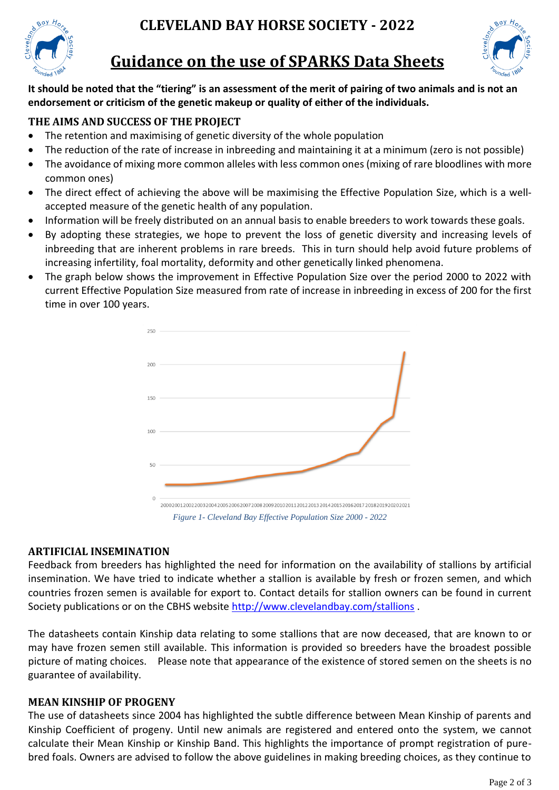

# **CLEVELAND BAY HORSE SOCIETY - 2022**



# **Guidance on the use of SPARKS Data Sheets**

**It should be noted that the "tiering" is an assessment of the merit of pairing of two animals and is not an endorsement or criticism of the genetic makeup or quality of either of the individuals.**

### **THE AIMS AND SUCCESS OF THE PROJECT**

- The retention and maximising of genetic diversity of the whole population
- The reduction of the rate of increase in inbreeding and maintaining it at a minimum (zero is not possible)
- The avoidance of mixing more common alleles with less common ones (mixing of rare bloodlines with more common ones)
- The direct effect of achieving the above will be maximising the Effective Population Size, which is a wellaccepted measure of the genetic health of any population.
- Information will be freely distributed on an annual basis to enable breeders to work towards these goals.
- By adopting these strategies, we hope to prevent the loss of genetic diversity and increasing levels of inbreeding that are inherent problems in rare breeds. This in turn should help avoid future problems of increasing infertility, foal mortality, deformity and other genetically linked phenomena.
- The graph below shows the improvement in Effective Population Size over the period 2000 to 2022 with current Effective Population Size measured from rate of increase in inbreeding in excess of 200 for the first time in over 100 years.



#### **ARTIFICIAL INSEMINATION**

Feedback from breeders has highlighted the need for information on the availability of stallions by artificial insemination. We have tried to indicate whether a stallion is available by fresh or frozen semen, and which countries frozen semen is available for export to. Contact details for stallion owners can be found in current Society publications or on the CBHS website<http://www.clevelandbay.com/stallions>.

The datasheets contain Kinship data relating to some stallions that are now deceased, that are known to or may have frozen semen still available. This information is provided so breeders have the broadest possible picture of mating choices. Please note that appearance of the existence of stored semen on the sheets is no guarantee of availability.

### **MEAN KINSHIP OF PROGENY**

The use of datasheets since 2004 has highlighted the subtle difference between Mean Kinship of parents and Kinship Coefficient of progeny. Until new animals are registered and entered onto the system, we cannot calculate their Mean Kinship or Kinship Band. This highlights the importance of prompt registration of purebred foals. Owners are advised to follow the above guidelines in making breeding choices, as they continue to